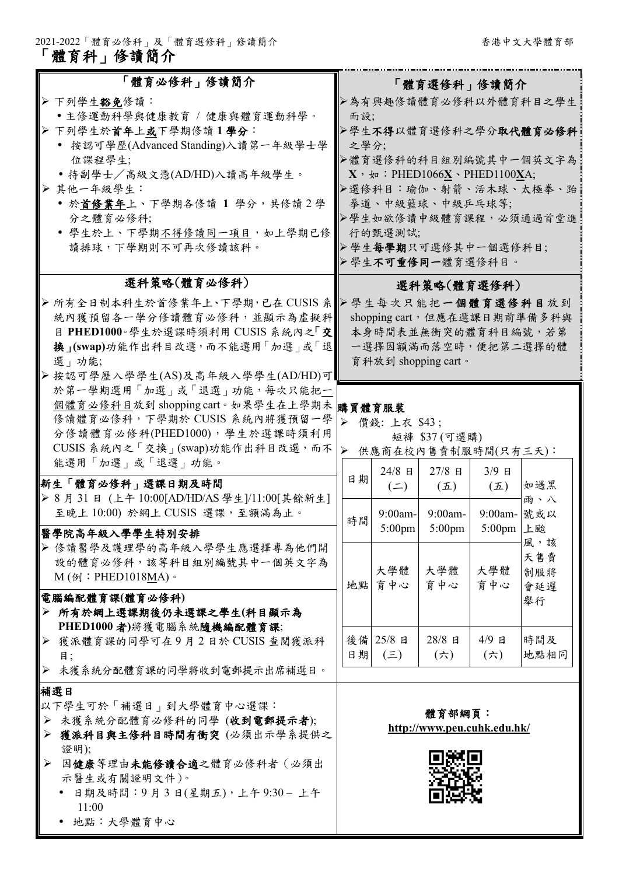「體育科」修讀簡介

| 「體育必修科」修讀簡介                                                                       | 「體育選修科」修讀簡介                                            |                                |                                |                          |      |  |  |
|-----------------------------------------------------------------------------------|--------------------------------------------------------|--------------------------------|--------------------------------|--------------------------|------|--|--|
| > 下列學生豁免修讀:                                                                       | ▶為有興趣修讀體育必修科以外體育科目之學生                                  |                                |                                |                          |      |  |  |
| •主修運動科學與健康教育 / 健康與體育運動科學。                                                         | 而設;                                                    |                                |                                |                          |      |  |  |
| > 下列學生於首年上或下學期修讀1學分:                                                              | ▶學生不得以體育選修科之學分取代體育必修科                                  |                                |                                |                          |      |  |  |
| • 按認可學歷(Advanced Standing)入讀第一年級學士學                                               | 之學分;                                                   |                                |                                |                          |      |  |  |
| 位課程學生;                                                                            | ▶體育選修科的科目組別編號其中一個英文字為                                  |                                |                                |                          |      |  |  |
| • 持副學士/高級文憑(AD/HD)入讀高年級學生。                                                        | $X$ , $\psi$ : PHED1066 $\underline{X}$ · PHED1100XA;  |                                |                                |                          |      |  |  |
| > 其他一年級學生:                                                                        | ▶選修科目:瑜伽、射箭、活木球、太極拳、跆                                  |                                |                                |                          |      |  |  |
| • 於首修業年上、下學期各修讀 1 學分,共修讀 2 學<br>分之體育必修科;                                          | 拳道、中級籃球、中級乒乓球等;<br>▶學生如欲修讀中級體育課程,必須通過首堂進               |                                |                                |                          |      |  |  |
| • 學生於上、下學期不得修讀同一項目, 如上學期已修                                                        |                                                        | 行的甄選測試;                        |                                |                          |      |  |  |
| 讀排球,下學期則不可再次修讀該科。                                                                 |                                                        |                                |                                |                          |      |  |  |
|                                                                                   | >學生每學期只可選修其中一個選修科目;<br>▶學生不可重修同一體育選修科目。                |                                |                                |                          |      |  |  |
| 選科策略(體育必修科)                                                                       | 選科策略(體育選修科)                                            |                                |                                |                          |      |  |  |
| > 所有全日制本科生於首修業年上、下學期,已在 CUSIS 系                                                   |                                                        |                                |                                |                          |      |  |  |
| 統內獲預留各一學分修讀體育必修科,並顯示為虛擬科                                                          | ▶學生每次只能把一個體育選修科目放到<br>shopping cart, 但應在選課日期前準備多科與     |                                |                                |                          |      |  |  |
| 目 PHED1000。學生於選課時須利用 CUSIS 系統內之「交                                                 | 本身時間表並無衝突的體育科目編號,若第                                    |                                |                                |                          |      |  |  |
| 换」(swap)功能作出科目改選,而不能選用「加選」或「退                                                     | 一選擇因額滿而落空時,便把第二選擇的體                                    |                                |                                |                          |      |  |  |
| 選   功能;                                                                           |                                                        |                                | 育科放到 shopping cart。            |                          |      |  |  |
| ▶按認可學歷入學學生(AS)及高年級入學學生(AD/HD)可                                                    |                                                        |                                |                                |                          |      |  |  |
| 於第一學期選用「加選」或「退選」功能,每次只能把一                                                         | $\blacktriangleright$<br>價錢: 上衣 \$43;<br>短褲 \$37 (可選購) |                                |                                |                          |      |  |  |
| 個體育必修科目放到 shopping cart。如果學生在上學期未 購買體育服裝                                          |                                                        |                                |                                |                          |      |  |  |
| 修讀體育必修科,下學期於 CUSIS 系統內將獲預留一學                                                      |                                                        |                                |                                |                          |      |  |  |
| 分修讀體育必修科(PHED1000),學生於選課時須利用                                                      |                                                        |                                |                                |                          |      |  |  |
| CUSIS 系統內之「交換」(swap)功能作出科目改選,而不<br>能選用「加選」或「退選」功能。                                | 供應商在校內售賣制服時間(只有三天):<br>⋗                               |                                |                                |                          |      |  |  |
|                                                                                   | 日期                                                     | $24/8$ 日                       | 27/8 日                         | $3/9$ 日                  |      |  |  |
| 新生「體育必修科」選課日期及時間                                                                  |                                                        | $(\equiv)$                     | $(\mathbf{\mathcal{I}})$       | $(\mathbf{\mathcal{I}})$ | 如遇黑  |  |  |
| > 8月31日 (上午10:00[AD/HD/AS 學生]/11:00[其餘新生]<br>至晚上 10:00) 於網上 CUSIS 選課,至額滿為止。       |                                                        |                                |                                |                          | 雨、八  |  |  |
|                                                                                   | 時間                                                     | $9:00$ am-<br>$5:00 \text{pm}$ | $9:00$ am-<br>$5:00 \text{pm}$ | 9:00am- 號或以<br>5:00pm 上颱 |      |  |  |
| 醫學院高年級入學學生特別安排                                                                    |                                                        |                                |                                |                          | 風,該  |  |  |
| ▶ 修讀醫學及護理學的高年級入學學生應選擇專為他們開                                                        |                                                        |                                |                                |                          | 天售賣  |  |  |
| 設的體育必修科,該等科目組別編號其中一個英文字為<br>$M(\phi)$ : PHED1018MA) $\circ$                       |                                                        | 大學體                            | 大學體                            | 大學體                      | 制服將  |  |  |
|                                                                                   | 地點                                                     | 育中心                            | 育中心                            | 育中心                      | 會延遲  |  |  |
| 電腦編配體育課(體育必修科)                                                                    |                                                        |                                |                                |                          | 舉行   |  |  |
| > 所有於網上選課期後仍未選課之學生(科目顯示為                                                          |                                                        |                                |                                |                          |      |  |  |
| PHED1000 者)將獲電腦系統隨機編配體育課;<br>獲派體育課的同學可在9月2日於 CUSIS 查閱獲派科<br>$\blacktriangleright$ |                                                        | 後備 25/8 日                      | 28/8 日                         | 4/9 日                    | 時間及  |  |  |
| 目;                                                                                | 日期                                                     | $(\equiv)$                     | $(\nleftrightarrow)$           | (六)                      | 地點相同 |  |  |
| 未獲系統分配體育課的同學將收到電郵提示出席補選日。<br>➤                                                    |                                                        |                                |                                |                          |      |  |  |
| 補選日                                                                               |                                                        |                                |                                |                          |      |  |  |
| 以下學生可於「補選日」到大學體育中心選課:                                                             |                                                        |                                |                                |                          |      |  |  |
| > 未獲系統分配體育必修科的同學 (收到電郵提示者);                                                       |                                                        |                                | 體育部網頁:                         |                          |      |  |  |
| 獲派科目與主修科目時間有衝突(必須出示學系提供之<br>➤                                                     |                                                        |                                | http://www.peu.cuhk.edu.hk/    |                          |      |  |  |
| 證明);                                                                              |                                                        |                                |                                |                          |      |  |  |
| 因健康等理由未能修讀合適之體育必修科者(必須出<br>➤                                                      |                                                        |                                |                                |                          |      |  |  |
| 示醫生或有關證明文件)。                                                                      |                                                        |                                |                                |                          |      |  |  |
| 日期及時間:9月3日(星期五),上午9:30-上午                                                         |                                                        |                                |                                |                          |      |  |  |
| 11:00<br>• 地點:大學體育中心                                                              |                                                        |                                |                                |                          |      |  |  |
|                                                                                   |                                                        |                                |                                |                          |      |  |  |